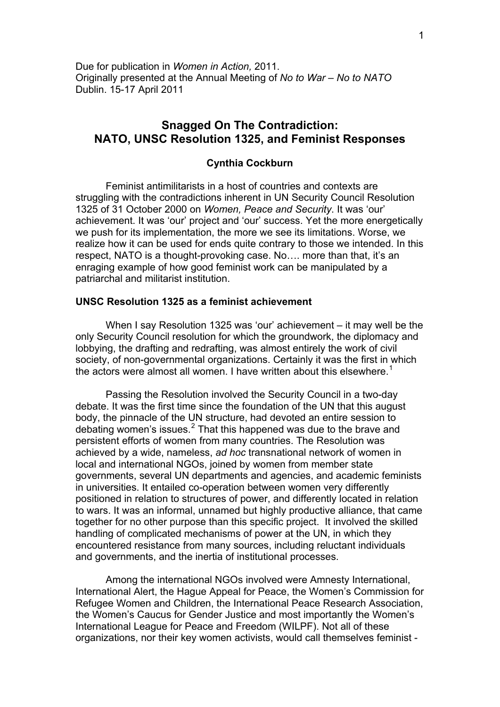# **Snagged On The Contradiction: NATO, UNSC Resolution 1325, and Feminist Responses**

# **Cynthia Cockburn**

Feminist antimilitarists in a host of countries and contexts are struggling with the contradictions inherent in UN Security Council Resolution 1325 of 31 October 2000 on *Women, Peace and Security*. It was 'our' achievement. It was 'our' project and 'our' success. Yet the more energetically we push for its implementation, the more we see its limitations. Worse, we realize how it can be used for ends quite contrary to those we intended. In this respect, NATO is a thought-provoking case. No…. more than that, it's an enraging example of how good feminist work can be manipulated by a patriarchal and militarist institution.

## **UNSC Resolution 1325 as a feminist achievement**

When I say Resolution 1325 was 'our' achievement – it may well be the only Security Council resolution for which the groundwork, the diplomacy and lobbying, the drafting and redrafting, was almost entirely the work of civil society, of non-governmental organizations. Certainly it was the first in which the actors were almost all women. I have written about this elsewhere.<sup>1</sup>

Passing the Resolution involved the Security Council in a two-day debate. It was the first time since the foundation of the UN that this au[gu](#page-9-0)st body, the pinnacle of the UN structure, had devoted an entire session to debating women's issues.<sup>2</sup> That this happened was due to the brave and persistent efforts of women from many countries. The Resolution was achieved by a wide, nameless, *ad hoc* transnational network of women in local and international N[GO](#page-9-1)s, joined by women from member state governments, several UN departments and agencies, and academic feminists in universities. It entailed co-operation between women very differently positioned in relation to structures of power, and differently located in relation to wars. It was an informal, unnamed but highly productive alliance, that came together for no other purpose than this specific project. It involved the skilled handling of complicated mechanisms of power at the UN, in which they encountered resistance from many sources, including reluctant individuals and governments, and the inertia of institutional processes.

Among the international NGOs involved were Amnesty International, International Alert, the Hague Appeal for Peace, the Women's Commission for Refugee Women and Children, the International Peace Research Association, the Women's Caucus for Gender Justice and most importantly the Women's International League for Peace and Freedom (WILPF). Not all of these organizations, nor their key women activists, would call themselves feminist -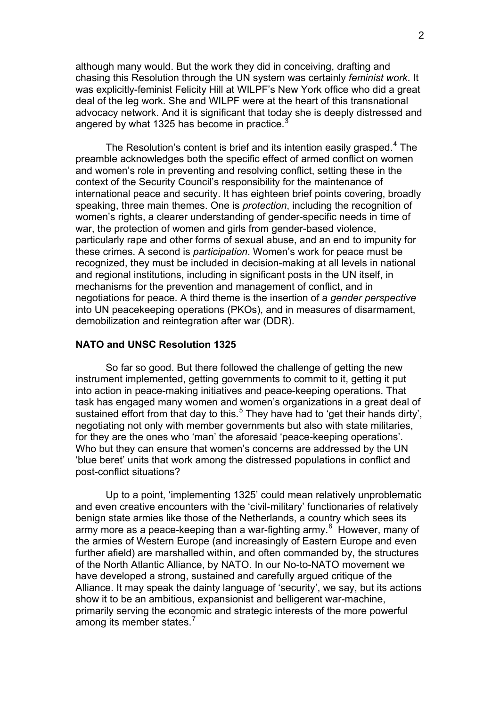although many would. But the work they did in conceiving, drafting and chasing this Resolution through the UN system was certainly *feminist work*. It was explicitly-feminist Felicity Hill at WILPF's New York office who did a great deal of the leg work. She and WILPF were at the heart of this transnational advocacy network. And it is significant that today she is deeply distressed and angered by what 1325 has become in practice. $\frac{3}{2}$ 

The Resolution's content is brief and its intention easily grasped.<sup>4</sup> The preamble acknowledges both the specific effec[t](#page-9-1) of armed conflict on women and women's role in preventing and resolving conflict, setting these in the context of the Security Council's responsibility for the maintenance of international peace and security. It has eighteen brief points covering, b[ro](#page-9-1)adly speaking, three main themes. One is *protection*, including the recognition of women's rights, a clearer understanding of gender-specific needs in time of war, the protection of women and girls from gender-based violence, particularly rape and other forms of sexual abuse, and an end to impunity for these crimes. A second is *participation*. Women's work for peace must be recognized, they must be included in decision-making at all levels in national and regional institutions, including in significant posts in the UN itself, in mechanisms for the prevention and management of conflict, and in negotiations for peace. A third theme is the insertion of a *gender perspective* into UN peacekeeping operations (PKOs), and in measures of disarmament, demobilization and reintegration after war (DDR).

## **NATO and UNSC Resolution 1325**

So far so good. But there followed the challenge of getting the new instrument implemented, getting governments to commit to it, getting it put into action in peace-making initiatives and peace-keeping operations. That task has engaged many women and women's organizations in a great deal of sustained effort from that day to this.<sup>5</sup> They have had to 'get their hands dirty', negotiating not only with member governments but also with state militaries, for they are the ones who 'man' the aforesaid 'peace-keeping operations'. Who but they can ensure that wome[n'](#page-9-1)s concerns are addressed by the UN 'blue beret' units that work among the distressed populations in conflict and post-conflict situations?

Up to a point, 'implementing 1325' could mean relatively unproblematic and even creative encounters with the 'civil-military' functionaries of relatively benign state armies like those of the Netherlands, a country which sees its army more as a peace-keeping than a war-fighting army.<sup>6</sup> However, many of the armies of Western Europe (and increasingly of Eastern Europe and even further afield) are marshalled within, and often commanded by, the structures of the North Atlantic Alliance, by NATO. In our No-to-NA[TO](#page-9-1) movement we have developed a strong, sustained and carefully argued critique of the Alliance. It may speak the dainty language of 'security', we say, but its actions show it to be an ambitious, expansionist and belligerent war-machine, primarily serving the economic and strategic interests of the more powerful among its member states. $7$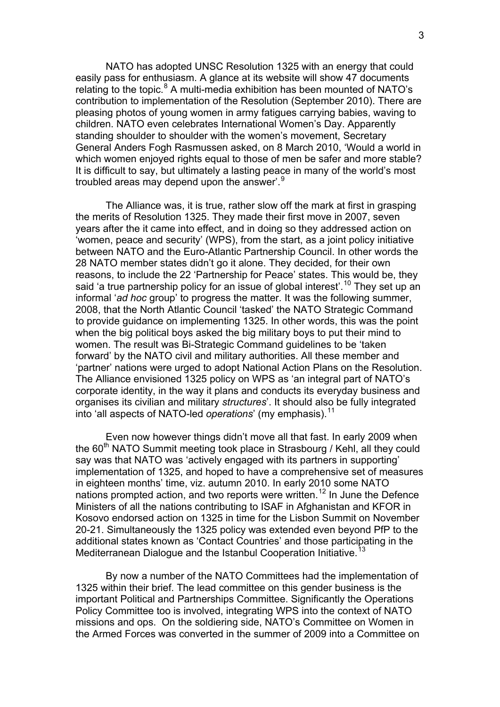NATO has adopted UNSC Resolution 1325 with an energy that could easily pass for enthusiasm. A glance at its website will show 47 documents relating to the topic. $8$  A multi-media exhibition has been mounted of NATO's contribution to implementation of the Resolution (September 2010). There are pleasing photos of young women in army fatigues carrying babies, waving to children. NATO eve[n](#page-9-1) celebrates International Women's Day. Apparently standing shoulder to shoulder with the women's movement, Secretary General Anders Fogh Rasmussen asked, on 8 March 2010, 'Would a world in which women enjoyed rights equal to those of men be safer and more stable? It is difficult to say, but ultimately a lasting peace in many of the world's most troubled areas may depend upon the answer'.<sup>9</sup>

The Alliance was, it is true, rather slow off the mark at first in grasping the merits of Resolution 1325. They made the[ir](#page-9-1) first move in 2007, seven years after the it came into effect, and in doing so they addressed action on 'women, peace and security' (WPS), from the start, as a joint policy initiative between NATO and the Euro-Atlantic Partnership Council. In other words the 28 NATO member states didn't go it alone. They decided, for their own reasons, to include the 22 'Partnership for Peace' states. This would be, they said 'a true partnership policy for an issue of global interest'.<sup>10</sup> They set up an informal '*ad hoc* group' to progress the matter. It was the following summer, 2008, that the North Atlantic Council 'tasked' the NATO Strategic Command to provide guidance on implementing 1325. In other words, t[h](#page-9-1)is was the point when the big political boys asked the big military boys to put their mind to women. The result was Bi-Strategic Command guidelines to be 'taken forward' by the NATO civil and military authorities. All these member and 'partner' nations were urged to adopt National Action Plans on the Resolution. The Alliance envisioned 1325 policy on WPS as 'an integral part of NATO's corporate identity, in the way it plans and conducts its everyday business and organises its civilian and military *structures*'. It should also be fully integrated into 'all aspects of NATO-led *operations'* (my emphasis).<sup>11</sup>

Even now however things didn't move all that fast. In early 2009 when the  $60<sup>th</sup>$  NATO Summit meeting took place in Strasbourg [/](#page-9-1) Kehl, all they could say was that NATO was 'actively engaged with its partners in supporting' implementation of 1325, and hoped to have a comprehensive set of measures in eighteen months' time, viz. autumn 2010. In early 2010 some NATO nations prompted action, and two reports were written.<sup>12</sup> In June the Defence Ministers of all the nations contributing to ISAF in Afghanistan and KFOR in Kosovo endorsed action on 1325 in time for the Lisbon Summit on November 20-21. Simultaneously the 1325 policy was extended [ev](#page-9-1)en beyond PfP to the additional states known as 'Contact Countries' and those participating in the Mediterranean Dialogue and the Istanbul Cooperation Initiative.<sup>13</sup>

By now a number of the NATO Committees had the implementation of 1325 within their brief. The lead committee on this gender busi[ne](#page-9-1)ss is the important Political and Partnerships Committee. Significantly the Operations Policy Committee too is involved, integrating WPS into the context of NATO missions and ops. On the soldiering side, NATO's Committee on Women in the Armed Forces was converted in the summer of 2009 into a Committee on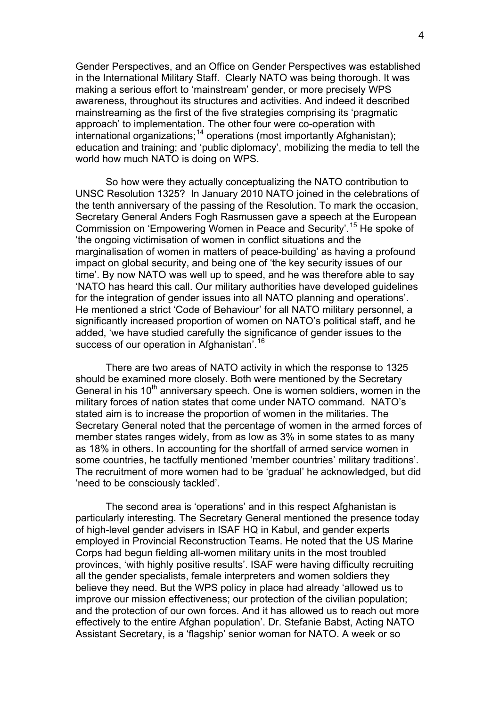Gender Perspectives, and an Office on Gender Perspectives was established in the International Military Staff. Clearly NATO was being thorough. It was making a serious effort to 'mainstream' gender, or more precisely WPS awareness, throughout its structures and activities. And indeed it described mainstreaming as the first of the five strategies comprising its 'pragmatic approach' to implementation. The other four were co-operation with international organizations;<sup>14</sup> operations (most importantly Afghanistan); education and training; and 'public diplomacy', mobilizing the media to tell the world how much NATO is doing on WPS.

So how were they a[ct](#page-9-1)ually conceptualizing the NATO contribution to UNSC Resolution 1325? In January 2010 NATO joined in the celebrations of the tenth anniversary of the passing of the Resolution. To mark the occasion, Secretary General Anders Fogh Rasmussen gave a speech at the European Commission on 'Empowering Women in Peace and Security'.15 He spoke of 'the ongoing victimisation of women in conflict situations and the marginalisation of women in matters of peace-building' as having a profound impact on global security, and being one of 'the key security i[ss](#page-9-1)ues of our time'. By now NATO was well up to speed, and he was therefore able to say 'NATO has heard this call. Our military authorities have developed guidelines for the integration of gender issues into all NATO planning and operations'. He mentioned a strict 'Code of Behaviour' for all NATO military personnel, a significantly increased proportion of women on NATO's political staff, and he added, 'we have studied carefully the significance of gender issues to the success of our operation in Afghanistan'.<sup>16</sup>

There are two areas of NATO activity in which the response to 1325 should be examined more closely. Both [w](#page-9-1)ere mentioned by the Secretary General in his  $10<sup>th</sup>$  anniversary speech. One is women soldiers, women in the military forces of nation states that come under NATO command. NATO's stated aim is to increase the proportion of women in the militaries. The Secretary General noted that the percentage of women in the armed forces of member states ranges widely, from as low as 3% in some states to as many as 18% in others. In accounting for the shortfall of armed service women in some countries, he tactfully mentioned 'member countries' military traditions'. The recruitment of more women had to be 'gradual' he acknowledged, but did 'need to be consciously tackled'.

The second area is 'operations' and in this respect Afghanistan is particularly interesting. The Secretary General mentioned the presence today of high-level gender advisers in ISAF HQ in Kabul, and gender experts employed in Provincial Reconstruction Teams. He noted that the US Marine Corps had begun fielding all-women military units in the most troubled provinces, 'with highly positive results'. ISAF were having difficulty recruiting all the gender specialists, female interpreters and women soldiers they believe they need. But the WPS policy in place had already 'allowed us to improve our mission effectiveness; our protection of the civilian population; and the protection of our own forces. And it has allowed us to reach out more effectively to the entire Afghan population'. Dr. Stefanie Babst, Acting NATO Assistant Secretary, is a 'flagship' senior woman for NATO. A week or so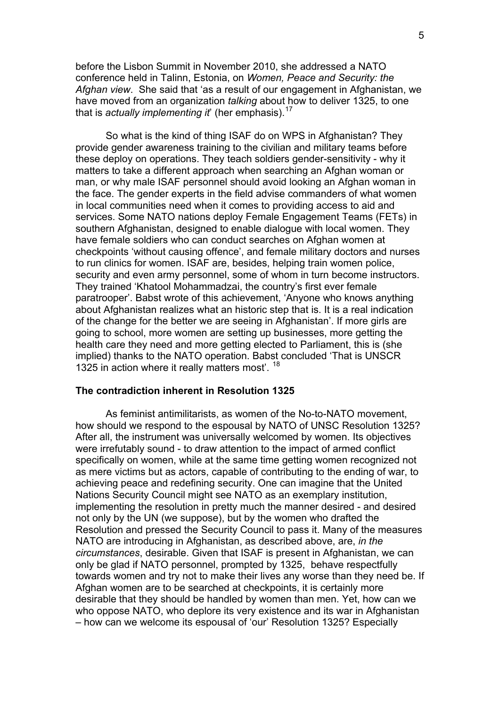before the Lisbon Summit in November 2010, she addressed a NATO conference held in Talinn, Estonia, on *Women, Peace and Security: the Afghan view*. She said that 'as a result of our engagement in Afghanistan, we have moved from an organization *talking* about how to deliver 1325, to one that is *actually implementing it*' (her emphasis).<sup>17</sup>

So what is the kind of thing ISAF do on WPS in Afghanistan? They provide gender awareness training to the civili[an](#page-9-1) and military teams before these deploy on operations. They teach soldiers gender-sensitivity - why it matters to take a different approach when searching an Afghan woman or man, or why male ISAF personnel should avoid looking an Afghan woman in the face. The gender experts in the field advise commanders of what women in local communities need when it comes to providing access to aid and services. Some NATO nations deploy Female Engagement Teams (FETs) in southern Afghanistan, designed to enable dialogue with local women. They have female soldiers who can conduct searches on Afghan women at checkpoints 'without causing offence', and female military doctors and nurses to run clinics for women. ISAF are, besides, helping train women police, security and even army personnel, some of whom in turn become instructors. They trained 'Khatool Mohammadzai, the country's first ever female paratrooper'. Babst wrote of this achievement, 'Anyone who knows anything about Afghanistan realizes what an historic step that is. It is a real indication of the change for the better we are seeing in Afghanistan'. If more girls are going to school, more women are setting up businesses, more getting the health care they need and more getting elected to Parliament, this is (she implied) thanks to the NATO operation. Babst concluded 'That is UNSCR 1325 in action where it really matters most'. <sup>18</sup>

#### **The contradiction inherent in Resolution 1325**

 As feminist antimilitarists, as women [of](#page-9-1) the No-to-NATO movement, how should we respond to the espousal by NATO of UNSC Resolution 1325? After all, the instrument was universally welcomed by women. Its objectives were irrefutably sound - to draw attention to the impact of armed conflict specifically on women, while at the same time getting women recognized not as mere victims but as actors, capable of contributing to the ending of war, to achieving peace and redefining security. One can imagine that the United Nations Security Council might see NATO as an exemplary institution, implementing the resolution in pretty much the manner desired - and desired not only by the UN (we suppose), but by the women who drafted the Resolution and pressed the Security Council to pass it. Many of the measures NATO are introducing in Afghanistan, as described above, are, *in the circumstances*, desirable. Given that ISAF is present in Afghanistan, we can only be glad if NATO personnel, prompted by 1325, behave respectfully towards women and try not to make their lives any worse than they need be. If Afghan women are to be searched at checkpoints, it is certainly more desirable that they should be handled by women than men. Yet, how can we who oppose NATO, who deplore its very existence and its war in Afghanistan – how can we welcome its espousal of 'our' Resolution 1325? Especially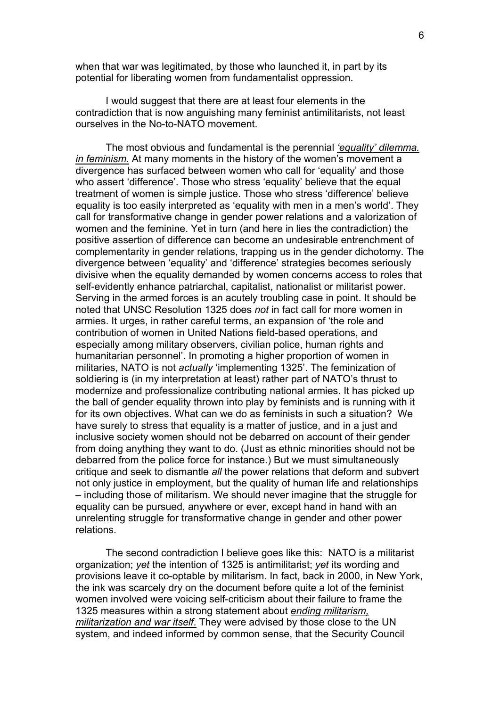when that war was legitimated, by those who launched it, in part by its potential for liberating women from fundamentalist oppression.

I would suggest that there are at least four elements in the contradiction that is now anguishing many feminist antimilitarists, not least ourselves in the No-to-NATO movement.

The most obvious and fundamental is the perennial *'equality' dilemma. in feminism*. At many moments in the history of the women's movement a divergence has surfaced between women who call for 'equality' and those who assert 'difference'. Those who stress 'equality' believe that the equal treatment of women is simple justice. Those who stress 'difference' believe equality is too easily interpreted as 'equality with men in a men's world'. They call for transformative change in gender power relations and a valorization of women and the feminine. Yet in turn (and here in lies the contradiction) the positive assertion of difference can become an undesirable entrenchment of complementarity in gender relations, trapping us in the gender dichotomy. The divergence between 'equality' and 'difference' strategies becomes seriously divisive when the equality demanded by women concerns access to roles that self-evidently enhance patriarchal, capitalist, nationalist or militarist power. Serving in the armed forces is an acutely troubling case in point. It should be noted that UNSC Resolution 1325 does *not* in fact call for more women in armies. It urges, in rather careful terms, an expansion of 'the role and contribution of women in United Nations field-based operations, and especially among military observers, civilian police, human rights and humanitarian personnel'. In promoting a higher proportion of women in militaries, NATO is not *actually* 'implementing 1325'. The feminization of soldiering is (in my interpretation at least) rather part of NATO's thrust to modernize and professionalize contributing national armies. It has picked up the ball of gender equality thrown into play by feminists and is running with it for its own objectives. What can we do as feminists in such a situation? We have surely to stress that equality is a matter of justice, and in a just and inclusive society women should not be debarred on account of their gender from doing anything they want to do. (Just as ethnic minorities should not be debarred from the police force for instance.) But we must simultaneously critique and seek to dismantle *all* the power relations that deform and subvert not only justice in employment, but the quality of human life and relationships – including those of militarism. We should never imagine that the struggle for equality can be pursued, anywhere or ever, except hand in hand with an unrelenting struggle for transformative change in gender and other power relations.

The second contradiction I believe goes like this: NATO is a militarist organization; *yet* the intention of 1325 is antimilitarist; *yet* its wording and provisions leave it co-optable by militarism. In fact, back in 2000, in New York, the ink was scarcely dry on the document before quite a lot of the feminist women involved were voicing self-criticism about their failure to frame the 1325 measures within a strong statement about *ending militarism, militarization and war itself*. They were advised by those close to the UN system, and indeed informed by common sense, that the Security Council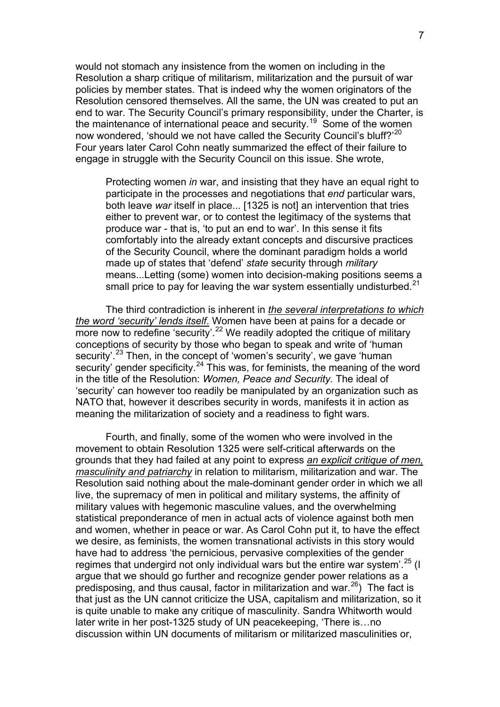would not stomach any insistence from the women on including in the Resolution a sharp critique of militarism, militarization and the pursuit of war policies by member states. That is indeed why the women originators of the Resolution censored themselves. All the same, the UN was created to put an end to war. The Security Council's primary responsibility, under the Charter, is the maintenance of international peace and security.<sup>19</sup> Some of the women now wondered, 'should we not have called the Security Council's bluff?'<sup>20</sup> Four years later Carol Cohn neatly summarized the effect of their failure to engage in struggle with the Security Council on this i[s](#page-9-1)sue. She wrote,

Protecting women *in* war, and insisting that they have an equal ri[g](#page-9-1)ht to participate in the processes and negotiations that *end* particular wars, both leave *war* itself in place... [1325 is not] an intervention that tries either to prevent war, or to contest the legitimacy of the systems that produce war - that is, 'to put an end to war'. In this sense it fits comfortably into the already extant concepts and discursive practices of the Security Council, where the dominant paradigm holds a world made up of states that 'defend' *state* security through *military* means...Letting (some) women into decision-making positions seems a small price to pay for leaving the war system essentially undisturbed.<sup>21</sup>

The third contradiction is inherent in *the several interpretations to which the word 'security' lends itself*. Women have been at pains for a decade or morenow to redefine 'security'.<sup>22</sup> We readily adopted the critique of military conceptions of security by those who began to speak and write of 'human security'.<sup>23</sup> Then, in the concept of 'women's security', we gave 'human' security' gender specificity.<sup>24</sup> T[hi](#page-9-1)s was, for feminists, the meaning of the word in the title of the Resolution: *Women, Peace and Security.* The ideal of 'security' [c](#page-9-1)an however too readily be manipulated by an organization such as NATO that, however it des[cr](#page-9-1)ibes security in words, manifests it in action as meaning the militarization of society and a readiness to fight wars.

Fourth, and finally, some of the women who were involved in the movement to obtain Resolution 1325 were self-critical afterwards on the grounds that they had failed at any point to express *an explicit critique of men, masculinity and patriarchy* in relation to militarism, militarization and war. The Resolution said nothing about the male-dominant gender order in which we all live, the supremacy of men in political and military systems, the affinity of military values with hegemonic masculine values, and the overwhelming statistical preponderance of men in actual acts of violence against both men and women, whether in peace or war. As Carol Cohn put it, to have the effect we desire, as feminists, the women transnational activists in this story would have had to address 'the pernicious, pervasive complexities of the gender regimes that undergird not only individual wars but the entire war system<sup>'.25</sup> (I argue that we should go further and recognize gender power relations as a predisposing, and thus causal, factor in militarization and war.<sup>26</sup>) The fact is that just as the UN cannot criticize the USA, capitalism and militarization, [so](#page-9-1) it is quite unable to make any critique of masculinity. Sandra Whitworth would later write in her post-1325 study of UN peacekeeping, 'There [i](#page-9-1)s…no discussion within UN documents of militarism or militarized masculinities or,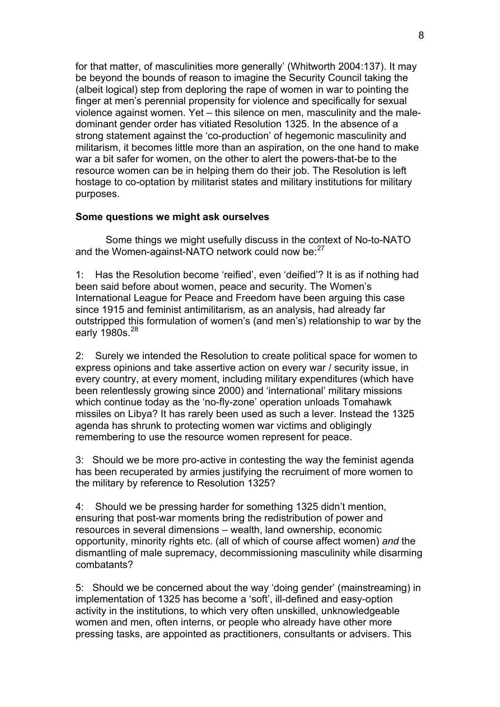for that matter, of masculinities more generally' (Whitworth 2004:137). It may be beyond the bounds of reason to imagine the Security Council taking the (albeit logical) step from deploring the rape of women in war to pointing the finger at men's perennial propensity for violence and specifically for sexual violence against women. Yet – this silence on men, masculinity and the maledominant gender order has vitiated Resolution 1325. In the absence of a strong statement against the 'co-production' of hegemonic masculinity and militarism, it becomes little more than an aspiration, on the one hand to make war a bit safer for women, on the other to alert the powers-that-be to the resource women can be in helping them do their job. The Resolution is left hostage to co-optation by militarist states and military institutions for military purposes.

## **Some questions we might ask ourselves**

 Some things we might usefully discuss in the context of No-to-NATO and the Women-against-NATO network could now be:<sup>27</sup>

1: Has the Resolution become 'reified', even 'deified'? It is as if nothing had been said before about women, peace and security. T[h](#page-9-1)e Women's International League for Peace and Freedom have been arguing this case since 1915 and feminist antimilitarism, as an analysis, had already far outstripped this formulation of women's (and men's) relationship to war by the early 1980s.<sup>28</sup>

2: Surely we intended the Resolution to create political space for women to express opi[ni](#page-9-1)ons and take assertive action on every war / security issue, in every country, at every moment, including military expenditures (which have been relentlessly growing since 2000) and 'international' military missions which continue today as the 'no-fly-zone' operation unloads Tomahawk missiles on Libya? It has rarely been used as such a lever. Instead the 1325 agenda has shrunk to protecting women war victims and obligingly remembering to use the resource women represent for peace.

3: Should we be more pro-active in contesting the way the feminist agenda has been recuperated by armies justifying the recruiment of more women to the military by reference to Resolution 1325?

4: Should we be pressing harder for something 1325 didn't mention, ensuring that post-war moments bring the redistribution of power and resources in several dimensions – wealth, land ownership, economic opportunity, minority rights etc. (all of which of course affect women) *and* the dismantling of male supremacy, decommissioning masculinity while disarming combatants?

5: Should we be concerned about the way 'doing gender' (mainstreaming) in implementation of 1325 has become a 'soft', ill-defined and easy-option activity in the institutions, to which very often unskilled, unknowledgeable women and men, often interns, or people who already have other more pressing tasks, are appointed as practitioners, consultants or advisers. This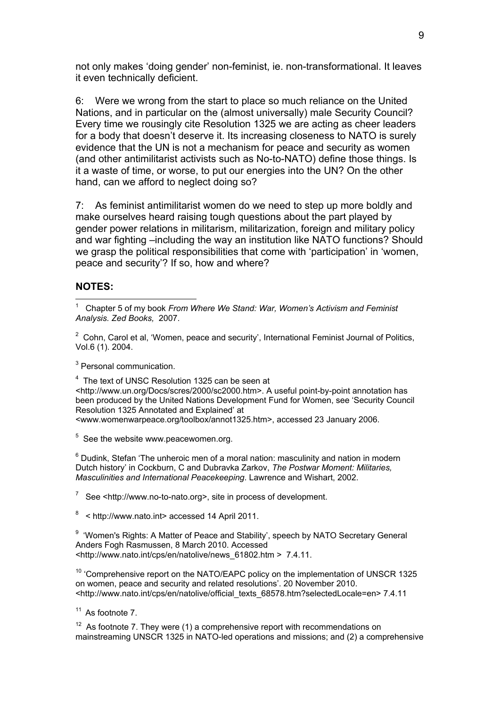not only makes 'doing gender' non-feminist, ie. non-transformational. It leaves it even technically deficient.

6: Were we wrong from the start to place so much reliance on the United Nations, and in particular on the (almost universally) male Security Council? Every time we rousingly cite Resolution 1325 we are acting as cheer leaders for a body that doesn't deserve it. Its increasing closeness to NATO is surely evidence that the UN is not a mechanism for peace and security as women (and other antimilitarist activists such as No-to-NATO) define those things. Is it a waste of time, or worse, to put our energies into the UN? On the other hand, can we afford to neglect doing so?

7: As feminist antimilitarist women do we need to step up more boldly and make ourselves heard raising tough questions about the part played by gender power relations in militarism, militarization, foreign and military policy and war fighting –including the way an institution like NATO functions? Should we grasp the political responsibilities that come with 'participation' in 'women, peace and security'? If so, how and where?

#### **NOTES:**

1

 $2$  Cohn, Carol et al, 'Women, peace and security', International Feminist Journal of Politics, Vol.6 (1). 2004.

<sup>3</sup> Personal communication.

<sup>4</sup> The text of UNSC Resolution 1325 can be seen at <http://www.un.org/Docs/scres/2000/sc2000.htm>. A useful point-by-point annotation has been produced by the United Nations Development Fund for Women, see 'Security Council Resolution 1325 Annotated and Explained' at <www.womenwarpeace.org/toolbox/annot1325.htm>, accessed 23 January 2006.

 $5$  See the website www.peacewomen.org.

<sup>6</sup> Dudink, Stefan 'The unheroic men of a moral nation: masculinity and nation in modern Dutch history' in Cockburn, C and Dubravka Zarkov, *The Postwar Moment: Militaries, Masculinities and International Peacekeeping*. Lawrence and Wishart, 2002.

<sup>7</sup> See <http://www.no-to-nato.org>, site in process of development.

 $8 \times$  http://www.nato.int> accessed 14 April 2011.

<sup>9</sup> 'Women's Rights: A Matter of Peace and Stability', speech by NATO Secretary General Anders Fogh Rasmussen, 8 March 2010. Accessed <http://www.nato.int/cps/en/natolive/news\_61802.htm > 7.4.11.

 $10$  'Comprehensive report on the NATO/EAPC policy on the implementation of UNSCR 1325 on women, peace and security and related resolutions'. 20 November 2010. <http://www.nato.int/cps/en/natolive/official\_texts\_68578.htm?selectedLocale=en> 7.4.11

 $11$  As footnote 7.

 $12$  As footnote 7. They were (1) a comprehensive report with recommendations on mainstreaming UNSCR 1325 in NATO-led operations and missions; and (2) a comprehensive

<sup>1</sup> Chapter 5 of my book *From Where We Stand: War, Women's Activism and Feminist Analysis. Zed Books,* 2007.